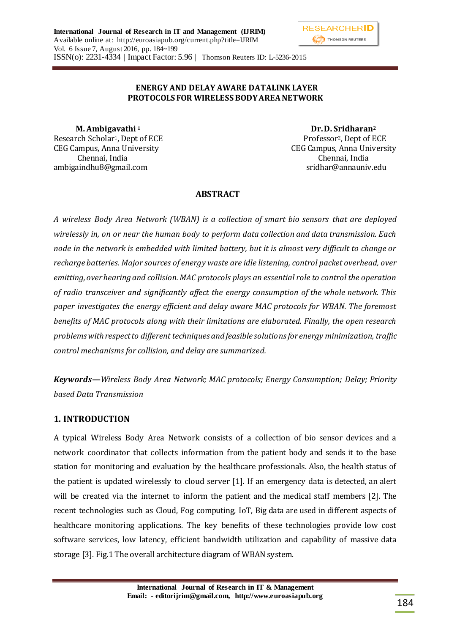### **ENERGY AND DELAY AWARE DATALINK LAYER PROTOCOLS FOR WIRELESS BODY AREA NETWORK**

 **M. Ambigavathi 1 Dr.D. Sridharan<sup>2</sup>** Research Scholar<sup>1</sup>, Dept of ECE Professor<sup>2</sup>, Dept of ECE CEG Campus, Anna University CEG Campus, Anna University Chennai, India Chennai, India ambigaindhu8@gmail.com sridhar@annauniv.edu

# **ABSTRACT**

*A wireless Body Area Network (WBAN) is a collection of smart bio sensors that are deployed wirelessly in, on or near the human body to perform data collection and data transmission. Each node in the network is embedded with limited battery, but it is almost very difficult to change or recharge batteries. Major sources of energy waste are idle listening, control packet overhead, over emitting, over hearing and collision. MAC protocols plays an essential role to control the operation of radio transceiver and significantly affect the energy consumption of the whole network. This paper investigates the energy efficient and delay aware MAC protocols for WBAN. The foremost benefits of MAC protocols along with their limitations are elaborated. Finally, the open research problems with respect to different techniques and feasible solutions for energy minimization, traffic control mechanisms for collision, and delay are summarized.*

*Keywords***—***Wireless Body Area Network; MAC protocols; Energy Consumption; Delay; Priority based Data Transmission*

## **1. INTRODUCTION**

A typical Wireless Body Area Network consists of a collection of bio sensor devices and a network coordinator that collects information from the patient body and sends it to the base station for monitoring and evaluation by the healthcare professionals. Also, the health status of the patient is updated wirelessly to cloud server [1]. If an emergency data is detected, an alert will be created via the internet to inform the patient and the medical staff members [2]. The recent technologies such as Cloud, Fog computing, IoT, Big data are used in different aspects of healthcare monitoring applications. The key benefits of these technologies provide low cost software services, low latency, efficient bandwidth utilization and capability of massive data storage [3]. Fig.1 The overall architecture diagram of WBAN system.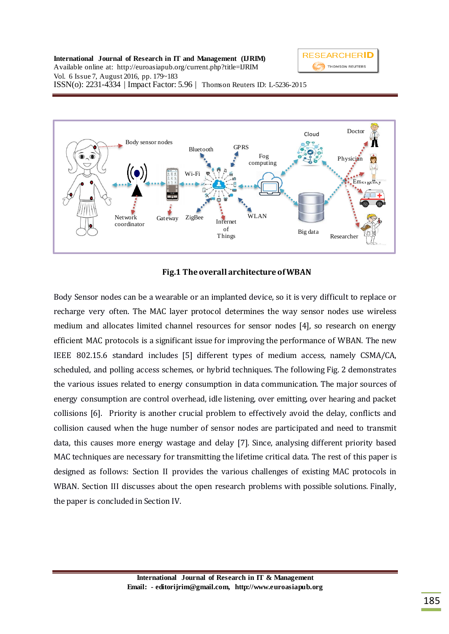

**International Journal of Research in IT and Management (IJRIM)**  Available online at: http://euroasiapub.org/current.php?title=IJRIM Vol. 6 Issue 7, August 2016, pp. 179~183 ISSN(o): 2231-4334 | Impact Factor: 5.96 | Thomson Reuters ID: L-5236-2015



## **Fig.1 The overall architecture of WBAN**

Body Sensor nodes can be a wearable or an implanted device, so it is very difficult to replace or recharge very often. The MAC layer protocol determines the way sensor nodes use wireless medium and allocates limited channel resources for sensor nodes [4], so research on energy efficient MAC protocols is a significant issue for improving the performance of WBAN. The new IEEE 802.15.6 standard includes [5] different types of medium access, namely CSMA/CA, scheduled, and polling access schemes, or hybrid techniques. The following Fig. 2 demonstrates the various issues related to energy consumption in data communication. The major sources of energy consumption are control overhead, idle listening, over emitting, over hearing and packet collisions [6]. Priority is another crucial problem to effectively avoid the delay, conflicts and collision caused when the huge number of sensor nodes are participated and need to transmit data, this causes more energy wastage and delay [7]. Since, analysing different priority based MAC techniques are necessary for transmitting the lifetime critical data. The rest of this paper is designed as follows: Section II provides the various challenges of existing MAC protocols in WBAN. Section III discusses about the open research problems with possible solutions. Finally, the paper is concluded in Section IV.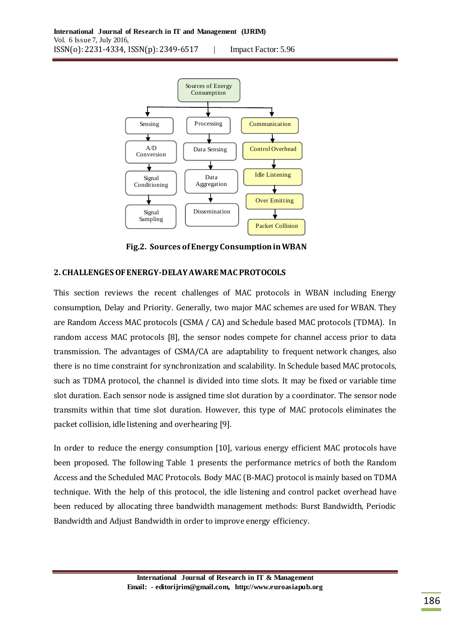

 **Fig.2. Sources of Energy Consumption in WBAN**

## **2. CHALLENGES OF ENERGY-DELAY AWARE MAC PROTOCOLS**

This section reviews the recent challenges of MAC protocols in WBAN including Energy consumption, Delay and Priority. Generally, two major MAC schemes are used for WBAN. They are Random Access MAC protocols (CSMA / CA) and Schedule based MAC protocols (TDMA). In random access MAC protocols [8], the sensor nodes compete for channel access prior to data transmission. The advantages of CSMA/CA are adaptability to frequent network changes, also there is no time constraint for synchronization and scalability. In Schedule based MAC protocols, such as TDMA protocol, the channel is divided into time slots. It may be fixed or variable time slot duration. Each sensor node is assigned time slot duration by a coordinator. The sensor node transmits within that time slot duration. However, this type of MAC protocols eliminates the packet collision, idle listening and overhearing [9].

In order to reduce the energy consumption [10], various energy efficient MAC protocols have been proposed. The following Table 1 presents the performance metrics of both the Random Access and the Scheduled MAC Protocols. Body MAC (B-MAC) protocol is mainly based on TDMA technique. With the help of this protocol, the idle listening and control packet overhead have been reduced by allocating three bandwidth management methods: Burst Bandwidth, Periodic Bandwidth and Adjust Bandwidth in order to improve energy efficiency.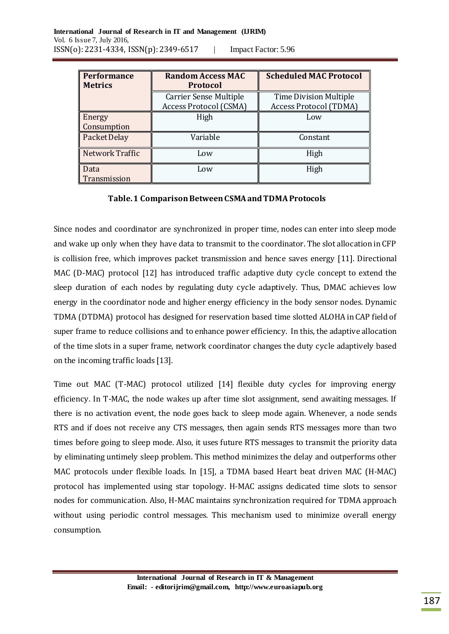| <b>Performance</b> | <b>Random Access MAC</b>      | <b>Scheduled MAC Protocol</b> |
|--------------------|-------------------------------|-------------------------------|
| <b>Metrics</b>     | <b>Protocol</b>               |                               |
|                    | <b>Carrier Sense Multiple</b> | <b>Time Division Multiple</b> |
|                    | <b>Access Protocol (CSMA)</b> | <b>Access Protocol (TDMA)</b> |
| Energy             | High                          | Low                           |
| Consumption        |                               |                               |
| Packet Delay       | Variable                      | Constant                      |
| Network Traffic    | Low                           | High                          |
| Data               | Low                           | High                          |
| Transmission       |                               |                               |

## **Table. 1 Comparison Between CSMA and TDMA Protocols**

Since nodes and coordinator are synchronized in proper time, nodes can enter into sleep mode and wake up only when they have data to transmit to the coordinator. The slot allocation in CFP is collision free, which improves packet transmission and hence saves energy [11]. Directional MAC (D-MAC) protocol [12] has introduced traffic adaptive duty cycle concept to extend the sleep duration of each nodes by regulating duty cycle adaptively. Thus, DMAC achieves low energy in the coordinator node and higher energy efficiency in the body sensor nodes. Dynamic TDMA (DTDMA) protocol has designed for reservation based time slotted ALOHA in CAP field of super frame to reduce collisions and to enhance power efficiency. In this, the adaptive allocation of the time slots in a super frame, network coordinator changes the duty cycle adaptively based on the incoming traffic loads [13].

Time out MAC (T-MAC) protocol utilized [14] flexible duty cycles for improving energy efficiency. In T-MAC, the node wakes up after time slot assignment, send awaiting messages. If there is no activation event, the node goes back to sleep mode again. Whenever, a node sends RTS and if does not receive any CTS messages, then again sends RTS messages more than two times before going to sleep mode. Also, it uses future RTS messages to transmit the priority data by eliminating untimely sleep problem. This method minimizes the delay and outperforms other MAC protocols under flexible loads. In [15], a TDMA based Heart beat driven MAC (H-MAC) protocol has implemented using star topology. H-MAC assigns dedicated time slots to sensor nodes for communication. Also, H-MAC maintains synchronization required for TDMA approach without using periodic control messages. This mechanism used to minimize overall energy consumption.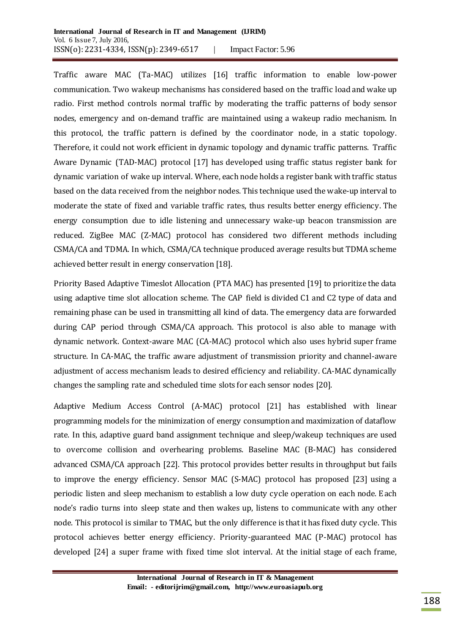Traffic aware MAC (Ta-MAC) utilizes [16] traffic information to enable low-power communication. Two wakeup mechanisms has considered based on the traffic load and wake up radio. First method controls normal traffic by moderating the traffic patterns of body sensor nodes, emergency and on-demand traffic are maintained using a wakeup radio mechanism. In this protocol, the traffic pattern is defined by the coordinator node, in a static topology. Therefore, it could not work efficient in dynamic topology and dynamic traffic patterns. Traffic Aware Dynamic (TAD-MAC) protocol [17] has developed using traffic status register bank for dynamic variation of wake up interval. Where, each node holds a register bank with traffic status based on the data received from the neighbor nodes. This technique used the wake-up interval to moderate the state of fixed and variable traffic rates, thus results better energy efficiency. The energy consumption due to idle listening and unnecessary wake-up beacon transmission are reduced. ZigBee MAC (Z-MAC) protocol has considered two different methods including CSMA/CA and TDMA. In which, CSMA/CA technique produced average results but TDMA scheme achieved better result in energy conservation [18].

Priority Based Adaptive Timeslot Allocation (PTA MAC) has presented [19] to prioritize the data using adaptive time slot allocation scheme. The CAP field is divided C1 and C2 type of data and remaining phase can be used in transmitting all kind of data. The emergency data are forwarded during CAP period through CSMA/CA approach. This protocol is also able to manage with dynamic network. Context-aware MAC (CA-MAC) protocol which also uses hybrid super frame structure. In CA-MAC, the traffic aware adjustment of transmission priority and channel-aware adjustment of access mechanism leads to desired efficiency and reliability. CA-MAC dynamically changes the sampling rate and scheduled time slots for each sensor nodes [20].

Adaptive Medium Access Control (A-MAC) protocol [21] has established with linear programming models for the minimization of energy consumption and maximization of dataflow rate. In this, adaptive guard band assignment technique and sleep/wakeup techniques are used to overcome collision and overhearing problems. Baseline MAC (B-MAC) has considered advanced CSMA/CA approach [22]. This protocol provides better results in throughput but fails to improve the energy efficiency. Sensor MAC (S-MAC) protocol has proposed [23] using a periodic listen and sleep mechanism to establish a low duty cycle operation on each node. Each node's radio turns into sleep state and then wakes up, listens to communicate with any other node. This protocol is similar to TMAC, but the only difference is that it has fixed duty cycle. This protocol achieves better energy efficiency. Priority-guaranteed MAC (P-MAC) protocol has developed [24] a super frame with fixed time slot interval. At the initial stage of each frame,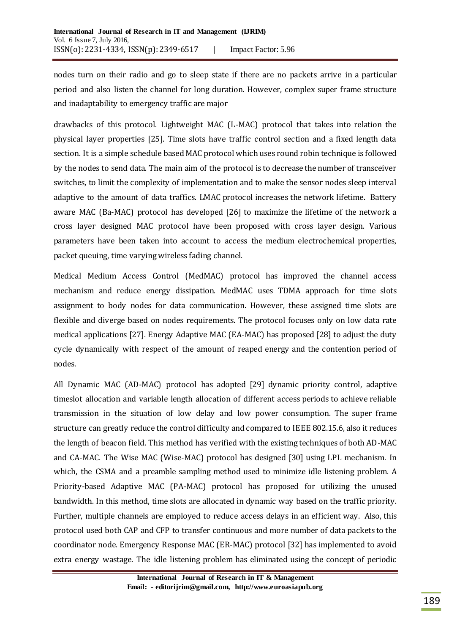nodes turn on their radio and go to sleep state if there are no packets arrive in a particular period and also listen the channel for long duration. However, complex super frame structure and inadaptability to emergency traffic are major

drawbacks of this protocol. Lightweight MAC (L-MAC) protocol that takes into relation the physical layer properties [25]. Time slots have traffic control section and a fixed length data section. It is a simple schedule based MAC protocol which uses round robin technique is followed by the nodes to send data. The main aim of the protocol is to decrease the number of transceiver switches, to limit the complexity of implementation and to make the sensor nodes sleep interval adaptive to the amount of data traffics. LMAC protocol increases the network lifetime. Battery aware MAC (Ba-MAC) protocol has developed [26] to maximize the lifetime of the network a cross layer designed MAC protocol have been proposed with cross layer design. Various parameters have been taken into account to access the medium electrochemical properties, packet queuing, time varying wireless fading channel.

Medical Medium Access Control (MedMAC) protocol has improved the channel access mechanism and reduce energy dissipation. MedMAC uses TDMA approach for time slots assignment to body nodes for data communication. However, these assigned time slots are flexible and diverge based on nodes requirements. The protocol focuses only on low data rate medical applications [27]. Energy Adaptive MAC (EA-MAC) has proposed [28] to adjust the duty cycle dynamically with respect of the amount of reaped energy and the contention period of nodes.

All Dynamic MAC (AD-MAC) protocol has adopted [29] dynamic priority control, adaptive timeslot allocation and variable length allocation of different access periods to achieve reliable transmission in the situation of low delay and low power consumption. The super frame structure can greatly reduce the control difficulty and compared to IEEE 802.15.6, also it reduces the length of beacon field. This method has verified with the existing techniques of both AD-MAC and CA-MAC. The Wise MAC (Wise-MAC) protocol has designed [30] using LPL mechanism. In which, the CSMA and a preamble sampling method used to minimize idle listening problem. A Priority-based Adaptive MAC (PA-MAC) protocol has proposed for utilizing the unused bandwidth. In this method, time slots are allocated in dynamic way based on the traffic priority. Further, multiple channels are employed to reduce access delays in an efficient way. Also, this protocol used both CAP and CFP to transfer continuous and more number of data packets to the coordinator node. Emergency Response MAC (ER-MAC) protocol [32] has implemented to avoid extra energy wastage. The idle listening problem has eliminated using the concept of periodic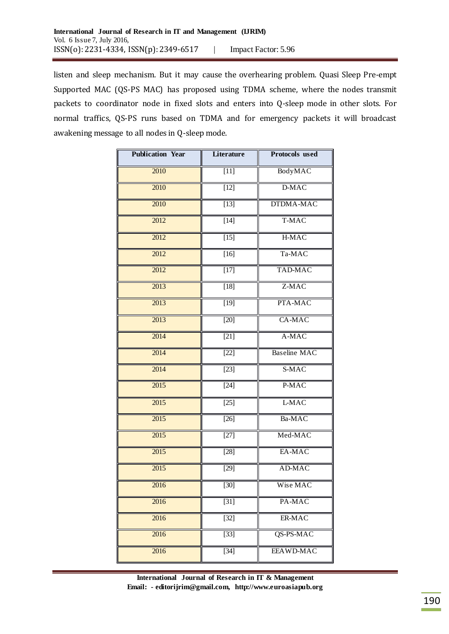listen and sleep mechanism. But it may cause the overhearing problem. Quasi Sleep Pre-empt Supported MAC (QS-PS MAC) has proposed using TDMA scheme, where the nodes transmit packets to coordinator node in fixed slots and enters into Q-sleep mode in other slots. For normal traffics, QS-PS runs based on TDMA and for emergency packets it will broadcast awakening message to all nodes in Q-sleep mode.

| <b>Publication Year</b> | Literature        | <b>Protocols</b> used |
|-------------------------|-------------------|-----------------------|
| 2010                    | $[11]$            | BodyMAC               |
| 2010                    | $[12]$            | D-MAC                 |
| 2010                    | $[13]$            | DTDMA-MAC             |
| 2012                    | $[14]$            | T-MAC                 |
| 2012                    | $[15]$            | H-MAC                 |
| 2012                    | $[16]$            | Ta-MAC                |
| 2012                    | $[17]$            | <b>TAD-MAC</b>        |
| 2013                    | $[18]$            | Z-MAC                 |
| 2013                    | $[19]$            | PTA-MAC               |
| 2013                    | $[20]$            | CA-MAC                |
| 2014                    | $[21]$            | A-MAC                 |
| 2014                    | $[22]$            | <b>Baseline MAC</b>   |
| 2014                    | $[23]$            | S-MAC                 |
| 2015                    | $[24]$            | P-MAC                 |
| 2015                    | $[25]$            | L-MAC                 |
| 2015                    | $[26]$            | Ba-MAC                |
| 2015                    | $[27]$            | Med-MAC               |
| 2015                    | $[28]$            | EA-MAC                |
| $\overline{2015}$       | $[29]$            | AD-MAC                |
| 2016                    | $\overline{[30]}$ | Wise MAC              |
| 2016                    | $[31]$            | PA-MAC                |
| 2016                    | $[32]$            | ER-MAC                |
| 2016                    | $\overline{[33]}$ | QS-PS-MAC             |
| 2016                    | $[34]$            | <b>EEAWD-MAC</b>      |

**International Journal of Research in IT & Management Email: - editorijrim@gmail.com, http://www.euroasiapub.org**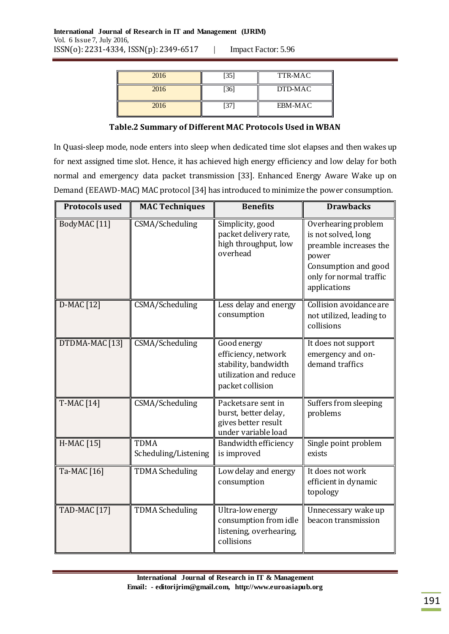| Impact Factor: 5.96 |  |
|---------------------|--|
|---------------------|--|

| 2016 | $[35]$ | TTR-MAC |
|------|--------|---------|
| 2016 | [36]   | DTD-MAC |
| 2016 |        | EBM-MAC |

#### **Table.2 Summary of Different MAC Protocols Used in WBAN**

In Quasi-sleep mode, node enters into sleep when dedicated time slot elapses and then wakes up for next assigned time slot. Hence, it has achieved high energy efficiency and low delay for both normal and emergency data packet transmission [33]. Enhanced Energy Aware Wake up on Demand (EEAWD-MAC) MAC protocol [34] has introduced to minimize the power consumption.

| <b>Protocols used</b> | <b>MAC Techniques</b>               | <b>Benefits</b>                                                                                          | <b>Drawbacks</b>                                                                                                                                 |
|-----------------------|-------------------------------------|----------------------------------------------------------------------------------------------------------|--------------------------------------------------------------------------------------------------------------------------------------------------|
| BodyMAC [11]          | CSMA/Scheduling                     | Simplicity, good<br>packet delivery rate,<br>high throughput, low<br>overhead                            | Overhearing problem<br>is not solved, long<br>preamble increases the<br>power<br>Consumption and good<br>only for normal traffic<br>applications |
| D-MAC [12]            | CSMA/Scheduling                     | Less delay and energy<br>consumption                                                                     | Collision avoidance are<br>not utilized, leading to<br>collisions                                                                                |
| DTDMA-MAC [13]        | CSMA/Scheduling                     | Good energy<br>efficiency, network<br>stability, bandwidth<br>utilization and reduce<br>packet collision | It does not support<br>emergency and on-<br>demand traffics                                                                                      |
| <b>T-MAC [14]</b>     | <b>CSMA/Scheduling</b>              | Packets are sent in<br>burst, better delay,<br>gives better result<br>under variable load                | Suffers from sleeping<br>problems                                                                                                                |
| H-MAC [15]            | <b>TDMA</b><br>Scheduling/Listening | Bandwidth efficiency<br>is improved                                                                      | Single point problem<br>exists                                                                                                                   |
| Ta-MAC [16]           | <b>TDMA</b> Scheduling              | Low delay and energy<br>consumption                                                                      | It does not work<br>efficient in dynamic<br>topology                                                                                             |
| <b>TAD-MAC [17]</b>   | <b>TDMA Scheduling</b>              | Ultra-low energy<br>consumption from idle<br>listening, overhearing,<br>collisions                       | Unnecessary wake up<br>beacon transmission                                                                                                       |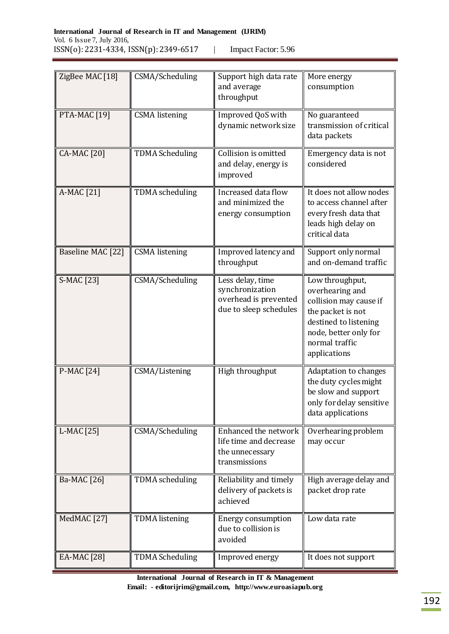| Impact Factor: 5.96 |  |
|---------------------|--|
|---------------------|--|

| ZigBee MAC [18]     | CSMA/Scheduling        | Support high data rate<br>and average<br>throughput                                    | More energy<br>consumption                                                                                                                                            |
|---------------------|------------------------|----------------------------------------------------------------------------------------|-----------------------------------------------------------------------------------------------------------------------------------------------------------------------|
| <b>PTA-MAC [19]</b> | <b>CSMA</b> listening  | Improved QoS with<br>dynamic network size                                              | No guaranteed<br>transmission of critical<br>data packets                                                                                                             |
| <b>CA-MAC</b> [20]  | <b>TDMA Scheduling</b> | Collision is omitted<br>and delay, energy is<br>improved                               | Emergency data is not<br>considered                                                                                                                                   |
| A-MAC [21]          | <b>TDMA</b> scheduling | Increased data flow<br>and minimized the<br>energy consumption                         | It does not allow nodes<br>to access channel after<br>every fresh data that<br>leads high delay on<br>critical data                                                   |
| Baseline MAC [22]   | <b>CSMA</b> listening  | Improved latency and<br>throughput                                                     | Support only normal<br>and on-demand traffic                                                                                                                          |
| S-MAC [23]          | CSMA/Scheduling        | Less delay, time<br>synchronization<br>overhead is prevented<br>due to sleep schedules | Low throughput,<br>overhearing and<br>collision may cause if<br>the packet is not<br>destined to listening<br>node, better only for<br>normal traffic<br>applications |
| P-MAC [24]          | CSMA/Listening         | High throughput                                                                        | <b>Adaptation to changes</b><br>the duty cycles might<br>be slow and support<br>only for delay sensitive<br>data applications                                         |
| L-MAC [25]          | CSMA/Scheduling        | Enhanced the network<br>life time and decrease<br>the unnecessary<br>transmissions     | Overhearing problem<br>may occur                                                                                                                                      |
| Ba-MAC [26]         | <b>TDMA</b> scheduling | Reliability and timely<br>delivery of packets is<br>achieved                           | High average delay and<br>packet drop rate                                                                                                                            |
| MedMAC [27]         | <b>TDMA</b> listening  | <b>Energy consumption</b><br>due to collision is<br>avoided                            | Low data rate                                                                                                                                                         |
| EA-MAC [28]         | <b>TDMA Scheduling</b> | Improved energy                                                                        | It does not support                                                                                                                                                   |

**International Journal of Research in IT & Management Email: - editorijrim@gmail.com, http://www.euroasiapub.org**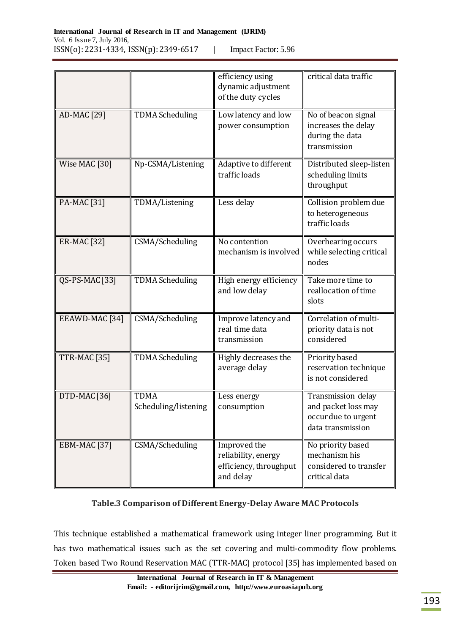| Impact Factor: 5.96 |  |
|---------------------|--|
|---------------------|--|

|                         |                                     | efficiency using<br>dynamic adjustment<br>of the duty cycles               | critical data traffic                                                                 |
|-------------------------|-------------------------------------|----------------------------------------------------------------------------|---------------------------------------------------------------------------------------|
| AD-MAC [29]             | <b>TDMA Scheduling</b>              | Low latency and low<br>power consumption                                   | No of beacon signal<br>increases the delay<br>during the data<br>transmission         |
| Wise MAC [30]           | Np-CSMA/Listening                   | Adaptive to different<br>traffic loads                                     | Distributed sleep-listen<br>scheduling limits<br>throughput                           |
| PA-MAC [31]             | TDMA/Listening                      | Less delay                                                                 | Collision problem due<br>to heterogeneous<br>traffic loads                            |
| <b>ER-MAC</b> [32]      | CSMA/Scheduling                     | No contention<br>mechanism is involved                                     | Overhearing occurs<br>while selecting critical<br>nodes                               |
| QS-PS-MAC [33]          | <b>TDMA Scheduling</b>              | High energy efficiency<br>and low delay                                    | Take more time to<br>reallocation of time<br>slots                                    |
| EEAWD-MAC [34]          | CSMA/Scheduling                     | Improve latency and<br>real time data<br>transmission                      | Correlation of multi-<br>priority data is not<br>considered                           |
| TTR-MAC [35]            | <b>TDMA Scheduling</b>              | Highly decreases the<br>average delay                                      | Priority based<br>reservation technique<br>is not considered                          |
| DTD-MAC [36]            | <b>TDMA</b><br>Scheduling/listening | Less energy<br>consumption                                                 | Transmission delay<br>and packet loss may<br>occur due to urgent<br>data transmission |
| EBM-MAC <sub>[37]</sub> | CSMA/Scheduling                     | Improved the<br>reliability, energy<br>efficiency, throughput<br>and delay | No priority based<br>mechanism his<br>considered to transfer<br>critical data         |

## **Table.3 Comparison of Different Energy-Delay Aware MAC Protocols**

This technique established a mathematical framework using integer liner programming. But it has two mathematical issues such as the set covering and multi-commodity flow problems. Token based Two Round Reservation MAC (TTR-MAC) protocol [35] has implemented based on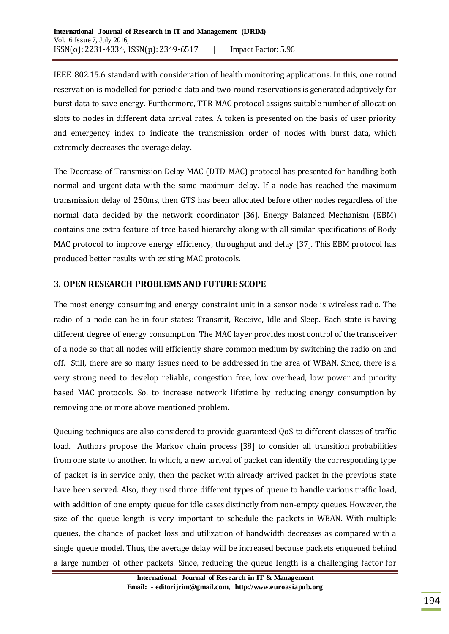IEEE 802.15.6 standard with consideration of health monitoring applications. In this, one round reservation is modelled for periodic data and two round reservations is generated adaptively for burst data to save energy. Furthermore, TTR MAC protocol assigns suitable number of allocation slots to nodes in different data arrival rates. A token is presented on the basis of user priority and emergency index to indicate the transmission order of nodes with burst data, which extremely decreases the average delay.

The Decrease of Transmission Delay MAC (DTD-MAC) protocol has presented for handling both normal and urgent data with the same maximum delay. If a node has reached the maximum transmission delay of 250ms, then GTS has been allocated before other nodes regardless of the normal data decided by the network coordinator [36]. Energy Balanced Mechanism (EBM) contains one extra feature of tree-based hierarchy along with all similar specifications of Body MAC protocol to improve energy efficiency, throughput and delay [37]. This EBM protocol has produced better results with existing MAC protocols.

## **3. OPEN RESEARCH PROBLEMS AND FUTURE SCOPE**

The most energy consuming and energy constraint unit in a sensor node is wireless radio. The radio of a node can be in four states: Transmit, Receive, Idle and Sleep. Each state is having different degree of energy consumption. The MAC layer provides most control of the transceiver of a node so that all nodes will efficiently share common medium by switching the radio on and off. Still, there are so many issues need to be addressed in the area of WBAN. Since, there is a very strong need to develop reliable, congestion free, low overhead, low power and priority based MAC protocols. So, to increase network lifetime by reducing energy consumption by removing one or more above mentioned problem.

Queuing techniques are also considered to provide guaranteed QoS to different classes of traffic load. Authors propose the Markov chain process [38] to consider all transition probabilities from one state to another. In which, a new arrival of packet can identify the corresponding type of packet is in service only, then the packet with already arrived packet in the previous state have been served. Also, they used three different types of queue to handle various traffic load, with addition of one empty queue for idle cases distinctly from non-empty queues. However, the size of the queue length is very important to schedule the packets in WBAN. With multiple queues, the chance of packet loss and utilization of bandwidth decreases as compared with a single queue model. Thus, the average delay will be increased because packets enqueued behind a large number of other packets. Since, reducing the queue length is a challenging factor for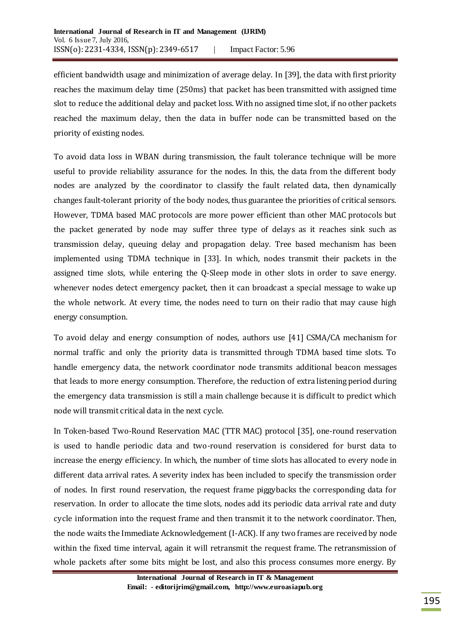efficient bandwidth usage and minimization of average delay. In [39], the data with first priority reaches the maximum delay time (250ms) that packet has been transmitted with assigned time slot to reduce the additional delay and packet loss. With no assigned time slot, if no other packets reached the maximum delay, then the data in buffer node can be transmitted based on the priority of existing nodes.

To avoid data loss in WBAN during transmission, the fault tolerance technique will be more useful to provide reliability assurance for the nodes. In this, the data from the different body nodes are analyzed by the coordinator to classify the fault related data, then dynamically changes fault-tolerant priority of the body nodes, thus guarantee the priorities of critical sensors. However, TDMA based MAC protocols are more power efficient than other MAC protocols but the packet generated by node may suffer three type of delays as it reaches sink such as transmission delay, queuing delay and propagation delay. Tree based mechanism has been implemented using TDMA technique in [33]. In which, nodes transmit their packets in the assigned time slots, while entering the Q-Sleep mode in other slots in order to save energy. whenever nodes detect emergency packet, then it can broadcast a special message to wake up the whole network. At every time, the nodes need to turn on their radio that may cause high energy consumption.

To avoid delay and energy consumption of nodes, authors use [41] CSMA/CA mechanism for normal traffic and only the priority data is transmitted through TDMA based time slots. To handle emergency data, the network coordinator node transmits additional beacon messages that leads to more energy consumption. Therefore, the reduction of extra listening period during the emergency data transmission is still a main challenge because it is difficult to predict which node will transmit critical data in the next cycle.

In Token-based Two-Round Reservation MAC (TTR MAC) protocol [35], one-round reservation is used to handle periodic data and two-round reservation is considered for burst data to increase the energy efficiency. In which, the number of time slots has allocated to every node in different data arrival rates. A severity index has been included to specify the transmission order of nodes. In first round reservation, the request frame piggybacks the corresponding data for reservation. In order to allocate the time slots, nodes add its periodic data arrival rate and duty cycle information into the request frame and then transmit it to the network coordinator. Then, the node waits the Immediate Acknowledgement (I-ACK). If any two frames are received by node within the fixed time interval, again it will retransmit the request frame. The retransmission of whole packets after some bits might be lost, and also this process consumes more energy. By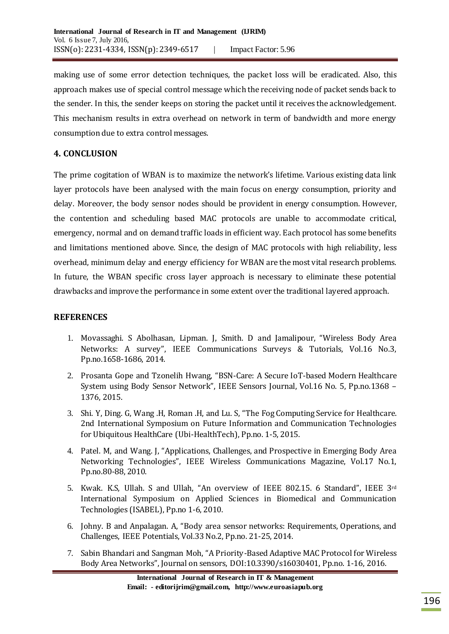making use of some error detection techniques, the packet loss will be eradicated. Also, this approach makes use of special control message which the receiving node of packet sends back to the sender. In this, the sender keeps on storing the packet until it receives the acknowledgement. This mechanism results in extra overhead on network in term of bandwidth and more energy consumption due to extra control messages.

## **4. CONCLUSION**

The prime cogitation of WBAN is to maximize the network's lifetime. Various existing data link layer protocols have been analysed with the main focus on energy consumption, priority and delay. Moreover, the body sensor nodes should be provident in energy consumption. However, the contention and scheduling based MAC protocols are unable to accommodate critical, emergency, normal and on demand traffic loads in efficient way. Each protocol has some benefits and limitations mentioned above. Since, the design of MAC protocols with high reliability, less overhead, minimum delay and energy efficiency for WBAN are the most vital research problems. In future, the WBAN specific cross layer approach is necessary to eliminate these potential drawbacks and improve the performance in some extent over the traditional layered approach.

### **REFERENCES**

- 1. Movassaghi. S Abolhasan, Lipman. J, Smith. D and Jamalipour, "Wireless Body Area Networks: A survey", IEEE Communications Surveys & Tutorials, Vol.16 No.3, Pp.no.1658-1686, 2014.
- 2. Prosanta Gope and Tzonelih Hwang, "BSN-Care: A Secure IoT-based Modern Healthcare System using Body Sensor Network", IEEE Sensors Journal, Vol.16 No. 5, Pp.no.1368 – 1376, 2015.
- 3. Shi. Y, Ding. G, Wang .H, Roman .H, and Lu. S, "The Fog Computing Service for Healthcare. 2nd International Symposium on Future Information and Communication Technologies for Ubiquitous HealthCare (Ubi-HealthTech), Pp.no. 1-5, 2015.
- 4. Patel. M, and Wang. J, "Applications, Challenges, and Prospective in Emerging Body Area Networking Technologies", IEEE Wireless Communications Magazine, Vol.17 No.1, Pp.no.80-88, 2010.
- 5. Kwak. K.S, Ullah. S and Ullah, "An overview of IEEE 802.15. 6 Standard", IEEE 3rd International Symposium on Applied Sciences in Biomedical and Communication Technologies (ISABEL), Pp.no 1-6, 2010.
- 6. Johny. B and Anpalagan. A, "Body area sensor networks: Requirements, Operations, and Challenges, IEEE Potentials, Vol.33 No.2, Pp.no. 21-25, 2014.
- 7. Sabin Bhandari and Sangman Moh, "A Priority-Based Adaptive MAC Protocol for Wireless Body Area Networks", Journal on sensors, DOI:10.3390/s16030401, Pp.no. 1-16, 2016.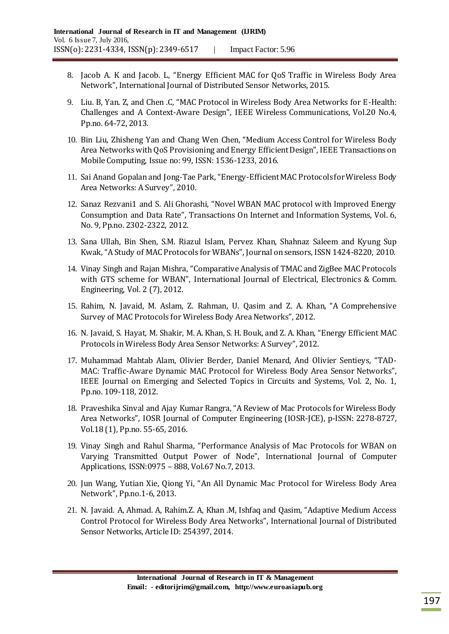- 8. Jacob A. K and Jacob. L, "Energy Efficient MAC for QoS Traffic in Wireless Body Area Network", International Journal of Distributed Sensor Networks, 2015.
- 9. Liu. B, Yan. Z, and Chen .C, "MAC Protocol in Wireless Body Area Networks for E-Health: Challenges and A Context-Aware Design", IEEE Wireless Communications, Vol.20 No.4, Pp.no. 64-72, 2013.
- 10. Bin Liu, Zhisheng Yan and Chang Wen Chen, "Medium Access Control for Wireless Body Area Networks with QoS Provisioning and Energy Efficient Design", IEEE Transactions on Mobile Computing, Issue no: 99, ISSN: 1536-1233, 2016.
- 11. Sai Anand Gopalan and Jong-Tae Park, "Energy-Efficient MAC Protocols for Wireless Body Area Networks: A Survey", 2010.
- 12. Sanaz Rezvani1 and S. Ali Ghorashi, "Novel WBAN MAC protocol with Improved Energy Consumption and Data Rate", Transactions On Internet and Information Systems, Vol. 6, No. 9, Pp.no. 2302-2322, 2012.
- 13. Sana Ullah, Bin Shen, S.M. Riazul Islam, Pervez Khan, Shahnaz Saleem and Kyung Sup Kwak, "A Study of MAC Protocols for WBANs", Journal on sensors, ISSN 1424-8220, 2010.
- 14. Vinay Singh and Rajan Mishra, "Comparative Analysis of TMAC and ZigBee MAC Protocols with GTS scheme for WBAN", International Journal of Electrical, Electronics & Comm. Engineering, Vol. 2 (7), 2012.
- 15. Rahim, N. Javaid, M. Aslam, Z. Rahman, U. Qasim and Z. A. Khan, "A Comprehensive Survey of MAC Protocols for Wireless Body Area Networks", 2012.
- 16. N. Javaid, S. Hayat, M. Shakir, M. A. Khan, S. H. Bouk, and Z. A. Khan, "Energy Efficient MAC Protocols in Wireless Body Area Sensor Networks: A Survey", 2012.
- 17. Muhammad Mahtab Alam, Olivier Berder, Daniel Menard, And Olivier Sentieys, "TAD-MAC: Traffic-Aware Dynamic MAC Protocol for Wireless Body Area Sensor Networks", IEEE Journal on Emerging and Selected Topics in Circuits and Systems, Vol. 2, No. 1, Pp.no. 109-118, 2012.
- 18. Praveshika Sinval and Ajay Kumar Rangra, "A Review of Mac Protocols for Wireless Body Area Networks", IOSR Journal of Computer Engineering (IOSR-JCE), p-ISSN: 2278-8727, Vol.18 (1), Pp.no. 55-65, 2016.
- 19. Vinay Singh and Rahul Sharma, "Performance Analysis of Mac Protocols for WBAN on Varying Transmitted Output Power of Node", International Journal of Computer Applications, ISSN:0975 – 888, Vol.67 No.7, 2013.
- 20. Jun Wang, Yutian Xie, Qiong Yi, "An All Dynamic Mac Protocol for Wireless Body Area Network", Pp.no.1-6, 2013.
- 21. N. Javaid. A, Ahmad. A, Rahim.Z. A, Khan .M, Ishfaq and Qasim, "Adaptive Medium Access Control Protocol for Wireless Body Area Networks", International Journal of Distributed Sensor Networks, Article ID: 254397, 2014.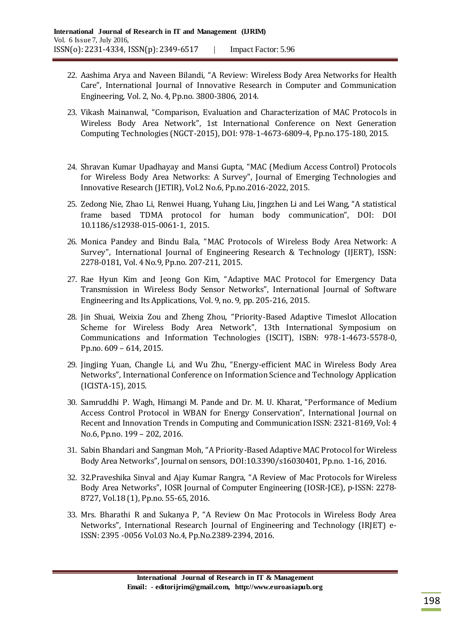- 22. Aashima Arya and Naveen Bilandi, "A Review: Wireless Body Area Networks for Health Care", International Journal of Innovative Research in Computer and Communication Engineering, Vol. 2, No. 4, Pp.no. 3800-3806, 2014.
- 23. Vikash Mainanwal, "Comparison, Evaluation and Characterization of MAC Protocols in Wireless Body Area Network", 1st International Conference on Next Generation Computing Technologies (NGCT-2015), DOI: 978-1-4673-6809-4, Pp.no.175-180, 2015.
- 24. Shravan Kumar Upadhayay and Mansi Gupta, "MAC (Medium Access Control) Protocols for Wireless Body Area Networks: A Survey", Journal of Emerging Technologies and Innovative Research (JETIR), Vol.2 No.6, Pp.no.2016-2022, 2015.
- 25. Zedong Nie, Zhao Li, Renwei Huang, Yuhang Liu, Jingzhen Li and Lei Wang, "A statistical frame based TDMA protocol for human body communication", DOI: DOI 10.1186/s12938-015-0061-1, 2015.
- 26. Monica Pandey and Bindu Bala, "MAC Protocols of Wireless Body Area Network: A Survey", International Journal of Engineering Research & Technology (IJERT), ISSN: 2278-0181, Vol. 4 No.9, Pp.no. 207-211, 2015.
- 27. Rae Hyun Kim and Jeong Gon Kim, "Adaptive MAC Protocol for Emergency Data Transmission in Wireless Body Sensor Networks", International Journal of Software Engineering and Its Applications, Vol. 9, no. 9, pp. 205-216, 2015.
- 28. Jin Shuai, Weixia Zou and Zheng Zhou, "Priority-Based Adaptive Timeslot Allocation Scheme for Wireless Body Area Network", 13th International Symposium on Communications and Information Technologies (ISCIT), ISBN: 978-1-4673-5578-0, Pp.no. 609 – 614, 2015.
- 29. Jingjing Yuan, Changle Li, and Wu Zhu, "Energy-efficient MAC in Wireless Body Area Networks", International Conference on Information Science and Technology Application (ICISTA-15), 2015.
- 30. Samruddhi P. Wagh, Himangi M. Pande and Dr. M. U. Kharat, "Performance of Medium Access Control Protocol in WBAN for Energy Conservation", International Journal on Recent and Innovation Trends in Computing and Communication ISSN: 2321-8169, Vol: 4 No.6, Pp.no. 199 – 202, 2016.
- 31. Sabin Bhandari and Sangman Moh, "A Priority-Based Adaptive MAC Protocol for Wireless Body Area Networks", Journal on sensors, DOI:10.3390/s16030401, Pp.no. 1-16, 2016.
- 32. 32.Praveshika Sinval and Ajay Kumar Rangra, "A Review of Mac Protocols for Wireless Body Area Networks", IOSR Journal of Computer Engineering (IOSR-JCE), p-ISSN: 2278- 8727, Vol.18 (1), Pp.no. 55-65, 2016.
- 33. Mrs. Bharathi R and Sukanya P, "A Review On Mac Protocols in Wireless Body Area Networks", International Research Journal of Engineering and Technology (IRJET) e-ISSN: 2395 -0056 Vol.03 No.4, Pp.No.2389-2394, 2016.